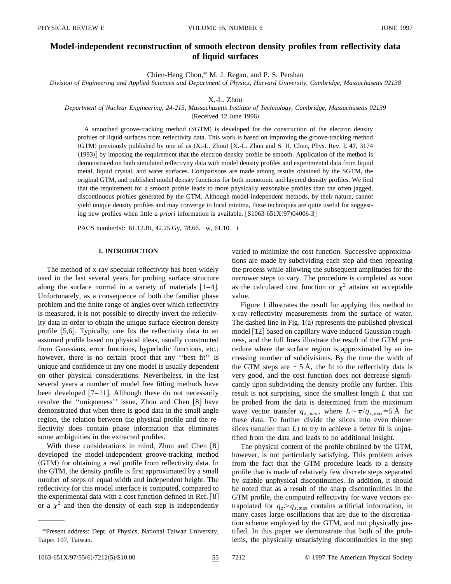# **Model-independent reconstruction of smooth electron density profiles from reflectivity data of liquid surfaces**

Chien-Heng Chou,\* M. J. Regan, and P. S. Pershan

*Division of Engineering and Applied Sciences and Department of Physics, Harvard University, Cambridge, Massachusetts 02138*

X.-L. Zhou

*Department of Nuclear Engineering, 24-215, Massachusetts Institute of Technology, Cambridge, Massachusetts 02139*

 $(Received 12 June 1996)$ 

A smoothed groove-tracking method (SGTM) is developed for the construction of the electron density profiles of liquid surfaces from reflectivity data. This work is based on improving the groove-tracking method  $(GTM)$  previously published by one of us  $(X.L. Zhou)$   $[X.L. Zhou$  and S. H. Chen, Phys. Rev. E 47, 3174 (1993)] by imposing the requirement that the electron density profile be smooth. Application of the method is demonstrated on both simulated reflectivity data with model density profiles and experimental data from liquid metal, liquid crystal, and water surfaces. Comparisons are made among results obtained by the SGTM, the original GTM, and published model density functions for both monotonic and layered density profiles. We find that the requirement for a smooth profile leads to more physically reasonable profiles than the often jagged, discontinuous profiles generated by the GTM. Although model-independent methods, by their nature, cannot yield unique density profiles and may converge to local minima, these techniques are quite useful for suggesting new profiles when little *a priori* information is available.  $[S1063-651X(97)04006-3]$ 

PACS number(s): 61.12.Bt, 42.25.Gy, 78.66. - w, 61.10. - i

# **I. INTRODUCTION**

The method of x-ray specular reflectivity has been widely used in the last several years for probing surface structure along the surface normal in a variety of materials  $[1-4]$ . Unfortunately, as a consequence of both the familiar phase problem and the finite range of angles over which reflectivity is measured, it is not possible to directly invert the reflectivity data in order to obtain the unique surface electron density profile  $[5,6]$ . Typically, one fits the reflectivity data to an assumed profile based on physical ideas, usually constructed from Gaussians, error functions, hyperbolic functions, etc.; however, there is no certain proof that any "best fit" is unique and confidence in any one model is usually dependent on other physical considerations. Nevertheless, in the last several years a number of model free fitting methods have been developed  $[7-11]$ . Although these do not necessarily resolve the "uniqueness" issue, Zhou and Chen [8] have demonstrated that when there is good data in the small angle region, the relation between the physical profile and the reflectivity does contain phase information that eliminates some ambiguities in the extracted profiles.

With these considerations in mind, Zhou and Chen  $[8]$ developed the model-independent groove-tracking method (GTM) for obtaining a real profile from reflectivity data. In the GTM, the density profile is first approximated by a small number of steps of equal width and independent height. The reflectivity for this model interface is computed, compared to the experimental data with a cost function defined in Ref.  $[8]$ or a  $\chi^2$  and then the density of each step is independently varied to minimize the cost function. Successive approximations are made by subdividing each step and then repeating the process while allowing the subsequent amplitudes for the narrower steps to vary. The procedure is completed as soon as the calculated cost function or  $\chi^2$  attains an acceptable value.

Figure 1 illustrates the result for applying this method to x-ray reflectivity measurements from the surface of water. The dashed line in Fig.  $1(a)$  represents the published physical model  $\lceil 12 \rceil$  based on capillary wave induced Gaussian roughness, and the full lines illustrate the result of the GTM procedure where the surface region is approximated by an increasing number of subdivisions. By the time the width of the GTM steps are  $\sim$  5 Å, the fit to the reflectivity data is very good, and the cost function does not decrease significantly upon subdividing the density profile any further. This result is not surprising, since the smallest length *L* that can be probed from the data is determined from the maximum wave vector transfer  $q_{z,\text{max}}$ , where  $L \sim \pi / q_{z,\text{max}} = 5 \text{ Å}$  for these data. To further divide the slices into even thinner slices (smaller than  $L$ ) to try to achieve a better fit is unjustified from the data and leads to no additional insight.

The physical content of the profile obtained by the GTM, however, is not particularly satisfying. This problem arises from the fact that the GTM procedure leads to a density profile that is made of relatively few discrete steps separated by sizable unphysical discontinuities. In addition, it should be noted that as a result of the sharp discontinuities in the GTM profile, the computed reflectivity for wave vectors extrapolated for  $q_z > q_{z, \text{max}}$  contains artificial information, in many cases large oscillations that are due to the discretization scheme employed by the GTM, and not physically justified. In this paper we demonstrate that both of the problems, the physically unsatisfying discontinuities in the step

<sup>\*</sup>Present address: Dept. of Physics, National Taiwan University, Taipei 107, Taiwan.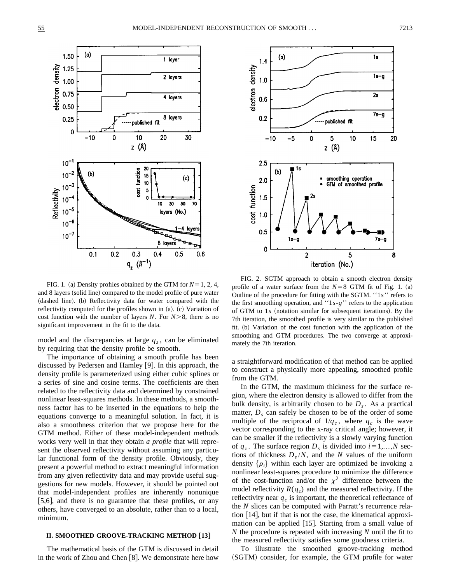

FIG. 1. (a) Density profiles obtained by the GTM for  $N=1, 2, 4$ , and 8 layers (solid line) compared to the model profile of pure water (dashed line). (b) Reflectivity data for water compared with the reflectivity computed for the profiles shown in  $(a)$ .  $(c)$  Variation of cost function with the number of layers *N*. For  $N > 8$ , there is no significant improvement in the fit to the data.

model and the discrepancies at large  $q_z$ , can be eliminated by requiring that the density profile be smooth.

The importance of obtaining a smooth profile has been discussed by Pedersen and Hamley [9]. In this approach, the density profile is parameterized using either cubic splines or a series of sine and cosine terms. The coefficients are then related to the reflectivity data and determined by constrained nonlinear least-squares methods. In these methods, a smoothness factor has to be inserted in the equations to help the equations converge to a meaningful solution. In fact, it is also a smoothness criterion that we propose here for the GTM method. Either of these model-independent methods works very well in that they obtain *a profile* that will represent the observed reflectivity without assuming any particular functional form of the density profile. Obviously, they present a powerful method to extract meaningful information from any given reflectivity data and may provide useful suggestions for new models. However, it should be pointed out that model-independent profiles are inherently nonunique  $[5,6]$ , and there is no guarantee that these profiles, or any others, have converged to an absolute, rather than to a local, minimum.

# **II. SMOOTHED GROOVE-TRACKING METHOD** †**13**‡

The mathematical basis of the GTM is discussed in detail in the work of Zhou and Chen  $[8]$ . We demonstrate here how



FIG. 2. SGTM approach to obtain a smooth electron density profile of a water surface from the  $N=8$  GTM fit of Fig. 1. (a) Outline of the procedure for fitting with the SGTM. ''1*s*'' refers to the first smoothing operation, and ''1*s*-*g*'' refers to the application of GTM to 1s (notation similar for subsequent iterations). By the 7th iteration, the smoothed profile is very similar to the published fit. (b) Variation of the cost function with the application of the smoothing and GTM procedures. The two converge at approximately the 7th iteration.

a straightforward modification of that method can be applied to construct a physically more appealing, smoothed profile from the GTM.

In the GTM, the maximum thickness for the surface region, where the electron density is allowed to differ from the bulk density, is arbitrarily chosen to be  $D_s$ . As a practical matter,  $D<sub>s</sub>$  can safely be chosen to be of the order of some multiple of the reciprocal of  $1/q_c$ , where  $q_c$  is the wave vector corresponding to the x-ray critical angle; however, it can be smaller if the reflectivity is a slowly varying function of  $q_z$ . The surface region  $D_s$  is divided into  $i=1,\ldots,N$  sections of thickness  $D_s/N$ , and the *N* values of the uniform density  $\{\rho_i\}$  within each layer are optimized be invoking a nonlinear least-squares procedure to minimize the difference of the cost-function and/or the  $\chi^2$  difference between the model reflectivity  $R(q_z)$  and the measured reflectivity. If the reflectivity near  $q_c$  is important, the theoretical reflectance of the *N* slices can be computed with Parratt's recurrence relation  $[14]$ , but if that is not the case, the kinematical approximation can be applied  $[15]$ . Starting from a small value of *N* the procedure is repeated with increasing *N* until the fit to the measured reflectivity satisfies some goodness criteria.

To illustrate the smoothed groove-tracking method (SGTM) consider, for example, the GTM profile for water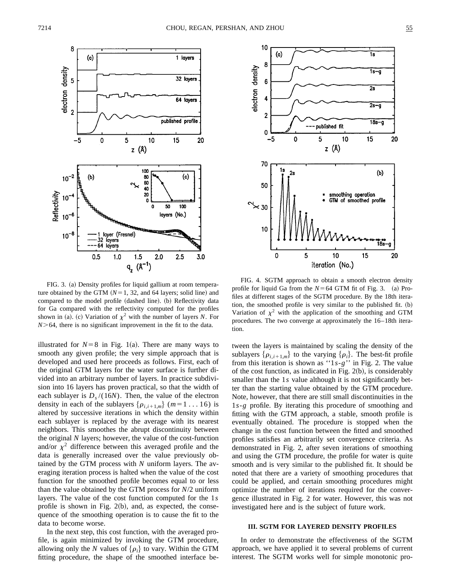

FIG. 3. (a) Density profiles for liquid gallium at room temperature obtained by the GTM  $(N=1, 32,$  and 64 layers; solid line) and compared to the model profile (dashed line). (b) Reflectivity data for Ga compared with the reflectivity computed for the profiles shown in (a). (c) Variation of  $\chi^2$  with the number of layers *N*. For  $N$  > 64, there is no significant improvement in the fit to the data.

illustrated for  $N=8$  in Fig. 1(a). There are many ways to smooth any given profile; the very simple approach that is developed and used here proceeds as follows. First, each of the original GTM layers for the water surface is further divided into an arbitrary number of layers. In practice subdivision into 16 layers has proven practical, so that the width of each sublayer is  $D_s/(16N)$ . Then, the value of the electron density in each of the sublayers  $\{\rho_{i,i+1,m}\}\$  (*m*=1...16) is altered by successive iterations in which the density within each sublayer is replaced by the average with its nearest neighbors. This smoothes the abrupt discontinuity between the original *N* layers; however, the value of the cost-function and/or  $\chi^2$  difference between this averaged profile and the data is generally increased over the value previously obtained by the GTM process with *N* uniform layers. The averaging iteration process is halted when the value of the cost function for the smoothed profile becomes equal to or less than the value obtained by the GTM process for *N*/2 uniform layers. The value of the cost function computed for the 1*s* profile is shown in Fig.  $2(b)$ , and, as expected, the consequence of the smoothing operation is to cause the fit to the data to become worse.

In the next step, this cost function, with the averaged profile, is again minimized by invoking the GTM procedure, allowing only the *N* values of  $\{\rho_i\}$  to vary. Within the GTM fitting procedure, the shape of the smoothed interface be-



FIG. 4. SGTM approach to obtain a smooth electron density profile for liquid Ga from the  $N=64$  GTM fit of Fig. 3.  $\alpha$  Profiles at different stages of the SGTM procedure. By the 18th iteration, the smoothed profile is very similar to the published fit.  $(b)$ Variation of  $\chi^2$  with the application of the smoothing and GTM procedures. The two converge at approximately the 16–18th iteration.

tween the layers is maintained by scaling the density of the sublayers  $\{\rho_{i,i+1,m}\}$  to the varying  $\{\rho_i\}$ . The best-fit profile from this iteration is shown as ''1*s*-*g*'' in Fig. 2. The value of the cost function, as indicated in Fig.  $2(b)$ , is considerably smaller than the 1*s* value although it is not significantly better than the starting value obtained by the GTM procedure. Note, however, that there are still small discontinuities in the 1*s*-*g* profile. By iterating this procedure of smoothing and fitting with the GTM approach, a stable, smooth profile is eventually obtained. The procedure is stopped when the change in the cost function between the fitted and smoothed profiles satisfies an arbitrarily set convergence criteria. As demonstrated in Fig. 2, after seven iterations of smoothing and using the GTM procedure, the profile for water is quite smooth and is very similar to the published fit. It should be noted that there are a variety of smoothing procedures that could be applied, and certain smoothing procedures might optimize the number of iterations required for the convergence illustrated in Fig. 2 for water. However, this was not investigated here and is the subject of future work.

# **III. SGTM FOR LAYERED DENSITY PROFILES**

In order to demonstrate the effectiveness of the SGTM approach, we have applied it to several problems of current interest. The SGTM works well for simple monotonic pro-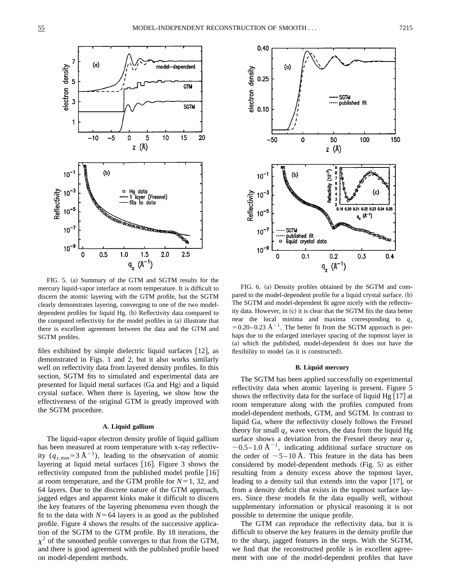

FIG. 5. (a) Summary of the GTM and SGTM results for the mercury liquid-vapor interface at room temperature. It is difficult to discern the atomic layering with the GTM profile, but the SGTM clearly demonstrates layering, converging to one of the two modeldependent profiles for liquid Hg. (b) Reflectivity data compared to the computed reflectivity for the model profiles in  $(a)$  illustrate that there is excellent agreement between the data and the GTM and SGTM profiles.

files exhibited by simple dielectric liquid surfaces  $[12]$ , as demonstrated in Figs. 1 and 2, but it also works similarly well on reflectivity data from layered density profiles. In this section, SGTM fits to simulated and experimental data are presented for liquid metal surfaces  $(Ga$  and  $Hg)$  and a liquid crystal surface. When there is layering, we show how the effectiveness of the original GTM is greatly improved with the SGTM procedure.

#### **A. Liquid gallium**

The liquid-vapor electron density profile of liquid gallium has been measured at room temperature with x-ray reflectivity  $(q_{z,\text{max}}=3 \text{ Å}^{-1})$ , leading to the observation of atomic layering at liquid metal surfaces  $[16]$ . Figure 3 shows the reflectivity computed from the published model profile  $[16]$ at room temperature, and the GTM profile for  $N=1$ , 32, and 64 layers. Due to the discrete nature of the GTM approach, jagged edges and apparent kinks make it difficult to discern the key features of the layering phenomena even though the fit to the data with  $N=64$  layers is as good as the published profile. Figure 4 shows the results of the successive application of the SGTM to the GTM profile. By 18 iterations, the  $\chi^2$  of the smoothed profile converges to that from the GTM, and there is good agreement with the published profile based on model-dependent methods.



FIG. 6. (a) Density profiles obtained by the SGTM and compared to the model-dependent profile for a liquid crystal surface.  $(b)$ The SGTM and model-dependent fit agree nicely with the reflectivity data. However, in (c) it is clear that the SGTM fits the data better near the local minima and maxima corresponding to  $q_z$  $=0.20-0.23$  Å<sup>-1</sup>. The better fit from the SGTM approach is perhaps due to the enlarged interlayer spacing of the topmost layer in (a) which the published, model-dependent fit does not have the flexibility to model (as it is constructed).

#### **B. Liquid mercury**

The SGTM has been applied successfully on experimental reflectivity data when atomic layering is present. Figure 5 shows the reflectivity data for the surface of liquid Hg  $[17]$  at room temperature along with the profiles computed from model-dependent methods, GTM, and SGTM. In contrast to liquid Ga, where the reflectivity closely follows the Fresnel theory for small  $q_z$  wave vectors, the data from the liquid Hg surface shows a deviation from the Fresnel theory near  $q_z$  $\sim$  0.5–1.0 Å<sup>-1</sup>, indicating additional surface structure on the order of  $\sim$  5 – 10 Å. This feature in the data has been considered by model-dependent methods  $(Fig. 5)$  as either resulting from a density excess above the topmost layer, leading to a density tail that extends into the vapor  $[17]$ , or from a density deficit that exists in the topmost surface layers. Since these models fit the data equally well, without supplementary information or physical reasoning it is not possible to determine the unique profile.

The GTM can reproduce the reflectivity data, but it is difficult to observe the key features in the density profile due to the sharp, jagged features in the steps. With the SGTM, we find that the reconstructed profile is in excellent agreement with one of the model-dependent profiles that have